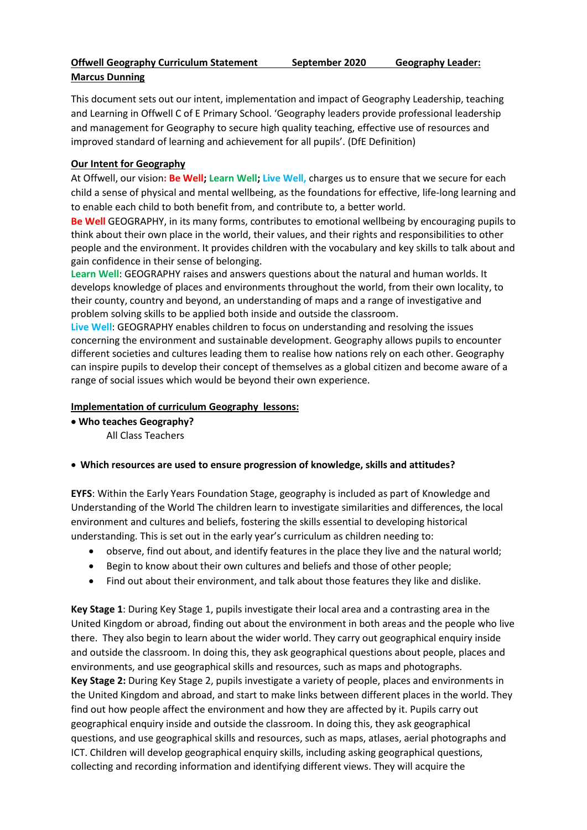# **Offwell Geography Curriculum Statement September 2020 Geography Leader: Marcus Dunning**

This document sets out our intent, implementation and impact of Geography Leadership, teaching and Learning in Offwell C of E Primary School. 'Geography leaders provide professional leadership and management for Geography to secure high quality teaching, effective use of resources and improved standard of learning and achievement for all pupils'. (DfE Definition)

# **Our Intent for Geography**

At Offwell, our vision**: Be Well; Learn Well; Live Well,** charges us to ensure that we secure for each child a sense of physical and mental wellbeing, as the foundations for effective, life-long learning and to enable each child to both benefit from, and contribute to, a better world.

**Be Well** GEOGRAPHY, in its many forms, contributes to emotional wellbeing by encouraging pupils to think about their own place in the world, their values, and their rights and responsibilities to other people and the environment. It provides children with the vocabulary and key skills to talk about and gain confidence in their sense of belonging.

**Learn Well**: GEOGRAPHY raises and answers questions about the natural and human worlds. It develops knowledge of places and environments throughout the world, from their own locality, to their county, country and beyond, an understanding of maps and a range of investigative and problem solving skills to be applied both inside and outside the classroom.

**Live Well**: GEOGRAPHY enables children to focus on understanding and resolving the issues concerning the environment and sustainable development. Geography allows pupils to encounter different societies and cultures leading them to realise how nations rely on each other. Geography can inspire pupils to develop their concept of themselves as a global citizen and become aware of a range of social issues which would be beyond their own experience.

## **Implementation of curriculum Geography lessons:**

- **Who teaches Geography?** All Class Teachers
- **Which resources are used to ensure progression of knowledge, skills and attitudes?**

**EYFS**: Within the Early Years Foundation Stage, geography is included as part of Knowledge and Understanding of the World The children learn to investigate similarities and differences, the local environment and cultures and beliefs, fostering the skills essential to developing historical understanding. This is set out in the early year's curriculum as children needing to:

- observe, find out about, and identify features in the place they live and the natural world;
- Begin to know about their own cultures and beliefs and those of other people;
- Find out about their environment, and talk about those features they like and dislike.

**Key Stage 1**: During Key Stage 1, pupils investigate their local area and a contrasting area in the United Kingdom or abroad, finding out about the environment in both areas and the people who live there. They also begin to learn about the wider world. They carry out geographical enquiry inside and outside the classroom. In doing this, they ask geographical questions about people, places and environments, and use geographical skills and resources, such as maps and photographs. **Key Stage 2:** During Key Stage 2, pupils investigate a variety of people, places and environments in the United Kingdom and abroad, and start to make links between different places in the world. They find out how people affect the environment and how they are affected by it. Pupils carry out geographical enquiry inside and outside the classroom. In doing this, they ask geographical questions, and use geographical skills and resources, such as maps, atlases, aerial photographs and ICT. Children will develop geographical enquiry skills, including asking geographical questions, collecting and recording information and identifying different views. They will acquire the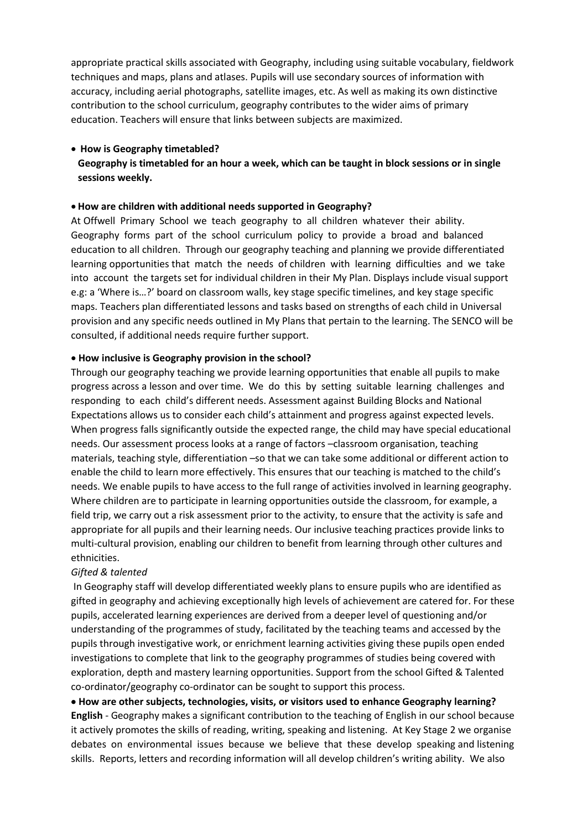appropriate practical skills associated with Geography, including using suitable vocabulary, fieldwork techniques and maps, plans and atlases. Pupils will use secondary sources of information with accuracy, including aerial photographs, satellite images, etc. As well as making its own distinctive contribution to the school curriculum, geography contributes to the wider aims of primary education. Teachers will ensure that links between subjects are maximized.

## **How is Geography timetabled?**

**Geography is timetabled for an hour a week, which can be taught in block sessions or in single sessions weekly.**

### **How are children with additional needs supported in Geography?**

At Offwell Primary School we teach geography to all children whatever their ability. Geography forms part of the school curriculum policy to provide a broad and balanced education to all children. Through our geography teaching and planning we provide differentiated learning opportunities that match the needs of children with learning difficulties and we take into account the targets set for individual children in their My Plan. Displays include visual support e.g: a 'Where is…?' board on classroom walls, key stage specific timelines, and key stage specific maps. Teachers plan differentiated lessons and tasks based on strengths of each child in Universal provision and any specific needs outlined in My Plans that pertain to the learning. The SENCO will be consulted, if additional needs require further support.

### **How inclusive is Geography provision in the school?**

Through our geography teaching we provide learning opportunities that enable all pupils to make progress across a lesson and over time. We do this by setting suitable learning challenges and responding to each child's different needs. Assessment against Building Blocks and National Expectations allows us to consider each child's attainment and progress against expected levels. When progress falls significantly outside the expected range, the child may have special educational needs. Our assessment process looks at a range of factors –classroom organisation, teaching materials, teaching style, differentiation –so that we can take some additional or different action to enable the child to learn more effectively. This ensures that our teaching is matched to the child's needs. We enable pupils to have access to the full range of activities involved in learning geography. Where children are to participate in learning opportunities outside the classroom, for example, a field trip, we carry out a risk assessment prior to the activity, to ensure that the activity is safe and appropriate for all pupils and their learning needs. Our inclusive teaching practices provide links to multi-cultural provision, enabling our children to benefit from learning through other cultures and ethnicities.

## *Gifted & talented*

In Geography staff will develop differentiated weekly plans to ensure pupils who are identified as gifted in geography and achieving exceptionally high levels of achievement are catered for. For these pupils, accelerated learning experiences are derived from a deeper level of questioning and/or understanding of the programmes of study, facilitated by the teaching teams and accessed by the pupils through investigative work, or enrichment learning activities giving these pupils open ended investigations to complete that link to the geography programmes of studies being covered with exploration, depth and mastery learning opportunities. Support from the school Gifted & Talented co-ordinator/geography co-ordinator can be sought to support this process.

 **How are other subjects, technologies, visits, or visitors used to enhance Geography learning? English** - Geography makes a significant contribution to the teaching of English in our school because it actively promotes the skills of reading, writing, speaking and listening. At Key Stage 2 we organise debates on environmental issues because we believe that these develop speaking and listening skills. Reports, letters and recording information will all develop children's writing ability. We also